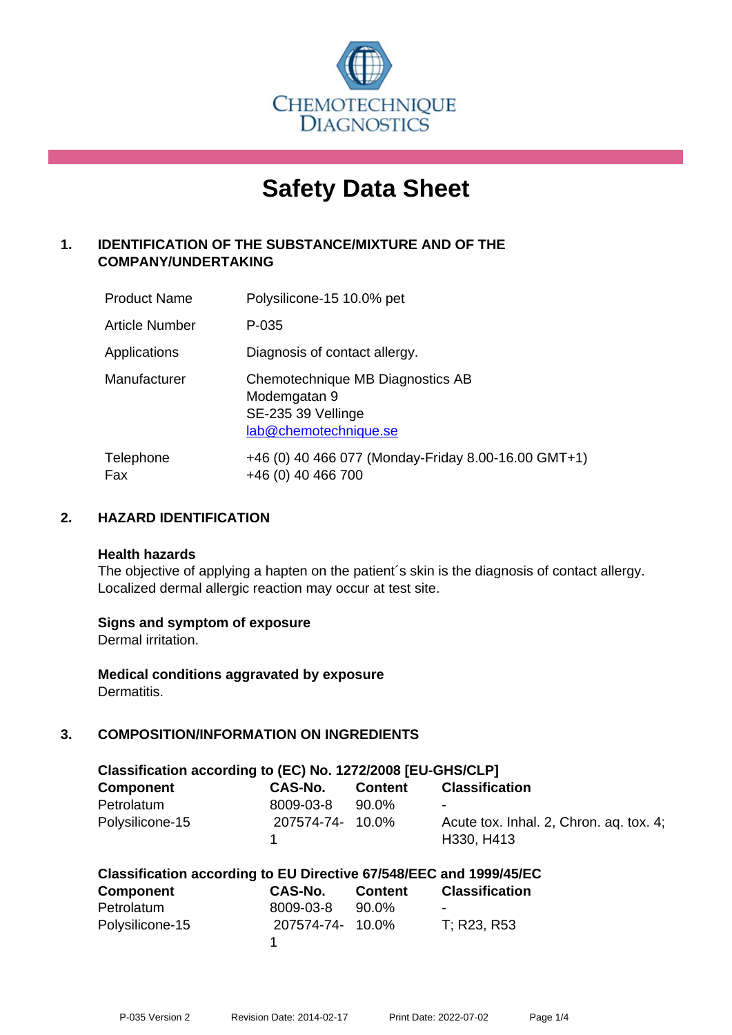

# **Safety Data Sheet**

# **1. IDENTIFICATION OF THE SUBSTANCE/MIXTURE AND OF THE COMPANY/UNDERTAKING**

| <b>Product Name</b>   | Polysilicone-15 10.0% pet                                                                       |
|-----------------------|-------------------------------------------------------------------------------------------------|
| <b>Article Number</b> | P-035                                                                                           |
| Applications          | Diagnosis of contact allergy.                                                                   |
| Manufacturer          | Chemotechnique MB Diagnostics AB<br>Modemgatan 9<br>SE-235 39 Vellinge<br>lab@chemotechnique.se |
| Telephone<br>Fax      | +46 (0) 40 466 077 (Monday-Friday 8.00-16.00 GMT+1)<br>+46 (0) 40 466 700                       |

## **2. HAZARD IDENTIFICATION**

#### **Health hazards**

The objective of applying a hapten on the patient's skin is the diagnosis of contact allergy. Localized dermal allergic reaction may occur at test site.

## **Signs and symptom of exposure**

Dermal irritation.

**Medical conditions aggravated by exposure** Dermatitis.

# **3. COMPOSITION/INFORMATION ON INGREDIENTS**

| Classification according to (EC) No. 1272/2008 [EU-GHS/CLP] |                  |                |                                         |  |
|-------------------------------------------------------------|------------------|----------------|-----------------------------------------|--|
| <b>Component</b>                                            | CAS-No.          | <b>Content</b> | <b>Classification</b>                   |  |
| Petrolatum                                                  | 8009-03-8        | 90.0%          | $\overline{\phantom{a}}$                |  |
| Polysilicone-15                                             | 207574-74- 10.0% |                | Acute tox. Inhal. 2, Chron. ag. tox. 4; |  |
|                                                             |                  |                | H330, H413                              |  |

| <b>Component</b> | <b>CAS-No.</b>   | <b>Content</b> | <b>Classification</b> |
|------------------|------------------|----------------|-----------------------|
| Petrolatum       | 8009-03-8        | 90.0%          | -                     |
| Polysilicone-15  | 207574-74- 10.0% |                | T; R23, R53           |
|                  |                  |                |                       |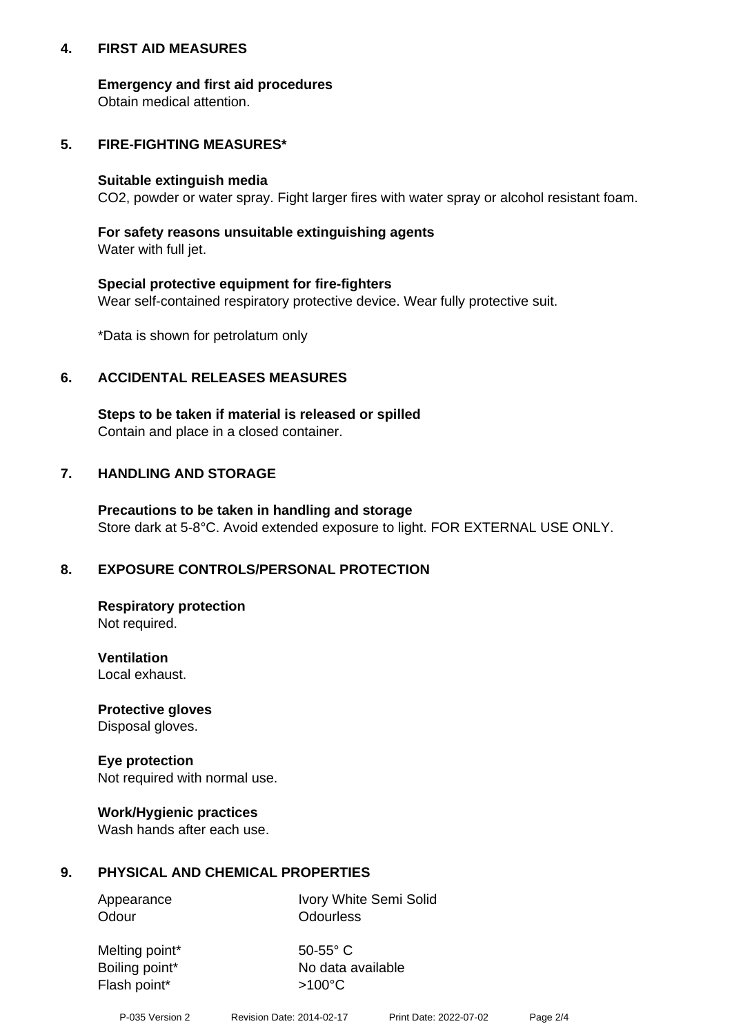## **4. FIRST AID MEASURES**

## **Emergency and first aid procedures**

Obtain medical attention.

## **5. FIRE-FIGHTING MEASURES\***

#### **Suitable extinguish media**

CO2, powder or water spray. Fight larger fires with water spray or alcohol resistant foam.

## **For safety reasons unsuitable extinguishing agents**

Water with full jet.

## **Special protective equipment for fire-fighters**

Wear self-contained respiratory protective device. Wear fully protective suit.

\*Data is shown for petrolatum only

## **6. ACCIDENTAL RELEASES MEASURES**

**Steps to be taken if material is released or spilled** Contain and place in a closed container.

## **7. HANDLING AND STORAGE**

**Precautions to be taken in handling and storage** Store dark at 5-8°C. Avoid extended exposure to light. FOR EXTERNAL USE ONLY.

# **8. EXPOSURE CONTROLS/PERSONAL PROTECTION**

**Respiratory protection** Not required.

**Ventilation** Local exhaust.

**Protective gloves** Disposal gloves.

#### **Eye protection** Not required with normal use.

## **Work/Hygienic practices**

Wash hands after each use.

## **9. PHYSICAL AND CHEMICAL PROPERTIES**

Odour **Odourless** 

Appearance Ivory White Semi Solid

Melting point\* 50-55° C Flash point\*  $>100^{\circ}$ C

Boiling point\* No data available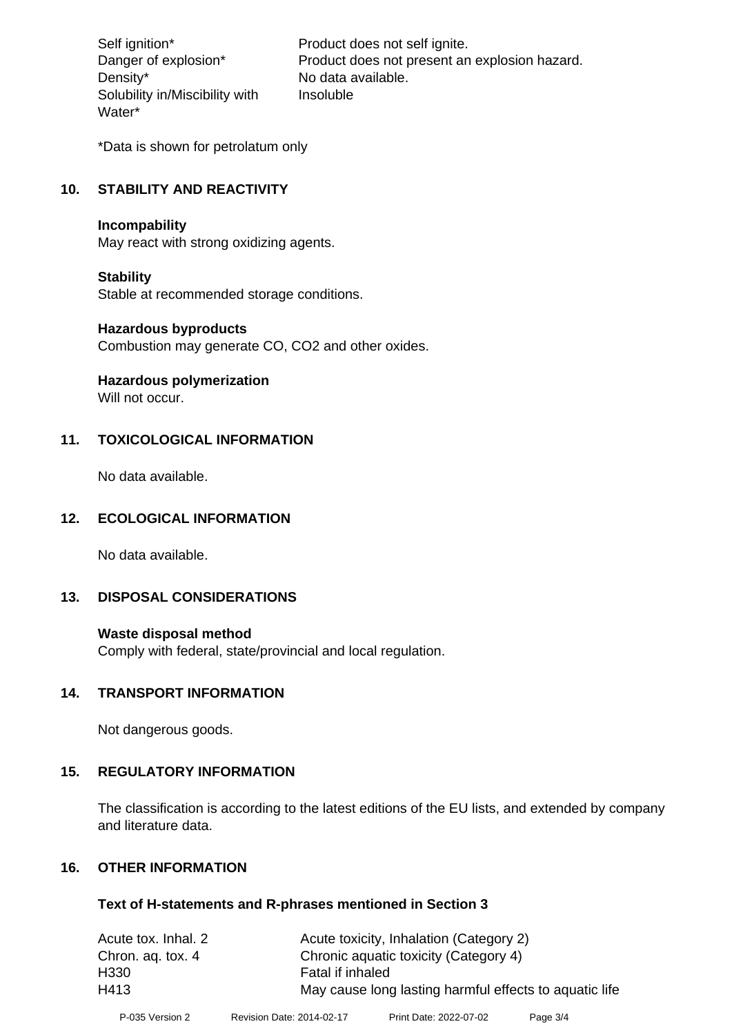Density\* No data available. Solubility in/Miscibility with Water\*

Self ignition\* Product does not self ignite. Danger of explosion\* Product does not present an explosion hazard. Insoluble

\*Data is shown for petrolatum only

# **10. STABILITY AND REACTIVITY**

#### **Incompability**

May react with strong oxidizing agents.

## **Stability**

Stable at recommended storage conditions.

#### **Hazardous byproducts**

Combustion may generate CO, CO2 and other oxides.

**Hazardous polymerization**

Will not occur.

## **11. TOXICOLOGICAL INFORMATION**

No data available.

## **12. ECOLOGICAL INFORMATION**

No data available.

## **13. DISPOSAL CONSIDERATIONS**

#### **Waste disposal method**

Comply with federal, state/provincial and local regulation.

## **14. TRANSPORT INFORMATION**

Not dangerous goods.

## **15. REGULATORY INFORMATION**

The classification is according to the latest editions of the EU lists, and extended by company and literature data.

## **16. OTHER INFORMATION**

#### **Text of H-statements and R-phrases mentioned in Section 3**

| Acute tox. Inhal. 2 | Acute toxicity, Inhalation (Category 2)                |
|---------------------|--------------------------------------------------------|
| Chron. ag. tox. 4   | Chronic aquatic toxicity (Category 4)                  |
| H330                | Fatal if inhaled                                       |
| H413                | May cause long lasting harmful effects to aquatic life |
|                     |                                                        |